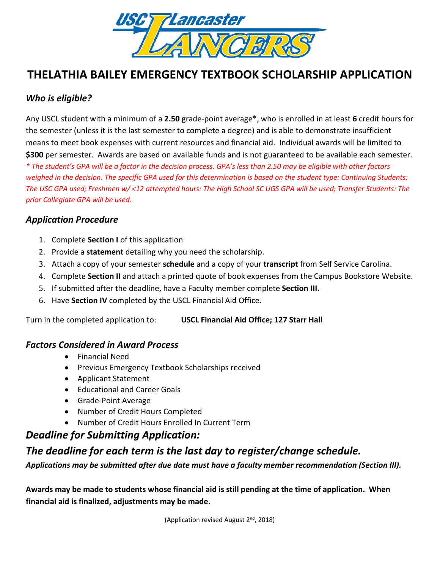

# **THELATHIA BAILEY EMERGENCY TEXTBOOK SCHOLARSHIP APPLICATION**

# *Who is eligible?*

Any USCL student with a minimum of a **2.50** grade-point average\*, who is enrolled in at least **6** credit hours for the semester (unless it is the last semester to complete a degree) and is able to demonstrate insufficient means to meet book expenses with current resources and financial aid. Individual awards will be limited to **\$300** per semester. Awards are based on available funds and is not guaranteed to be available each semester. *\* The student's GPA will be a factor in the decision process. GPA's less than 2.50 may be eligible with other factors weighed in the decision. The specific GPA used for this determination is based on the student type: Continuing Students: The USC GPA used; Freshmen w/ <12 attempted hours: The High School SC UGS GPA will be used; Transfer Students: The prior Collegiate GPA will be used.*

### *Application Procedure*

- 1. Complete **Section I** of this application
- 2. Provide a **statement** detailing why you need the scholarship.
- 3. Attach a copy of your semester **schedule** and a copy of your **transcript** from Self Service Carolina.
- 4. Complete **Section II** and attach a printed quote of book expenses from the Campus Bookstore Website.
- 5. If submitted after the deadline, have a Faculty member complete **Section III.**
- 6. Have **Section IV** completed by the USCL Financial Aid Office.

Turn in the completed application to: **USCL Financial Aid Office; 127 Starr Hall** 

#### *Factors Considered in Award Process*

- Financial Need
- Previous Emergency Textbook Scholarships received
- Applicant Statement
- Educational and Career Goals
- Grade-Point Average
- Number of Credit Hours Completed
- Number of Credit Hours Enrolled In Current Term

## *Deadline for Submitting Application:*

# *The deadline for each term is the last day to register/change schedule.*

*Applications may be submitted after due date must have a faculty member recommendation (Section III).*

**Awards may be made to students whose financial aid is still pending at the time of application. When financial aid is finalized, adjustments may be made.**